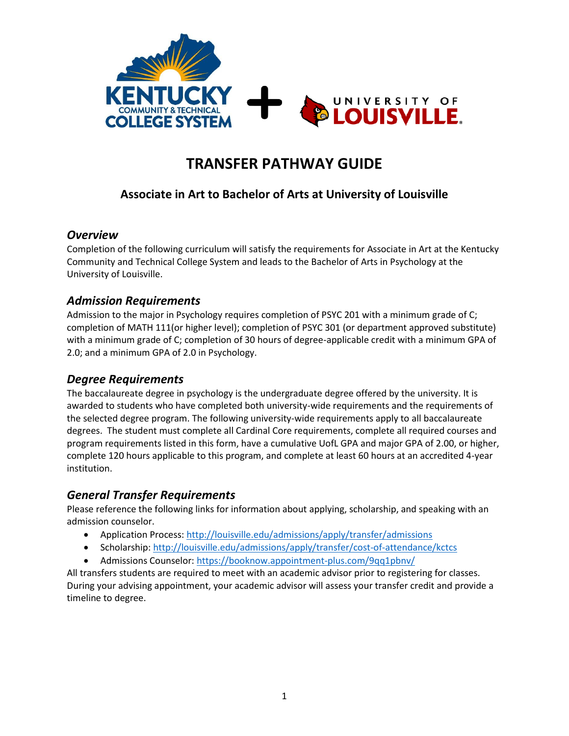

# **TRANSFER PATHWAY GUIDE**

# **Associate in Art to Bachelor of Arts at University of Louisville**

### *Overview*

Completion of the following curriculum will satisfy the requirements for Associate in Art at the Kentucky Community and Technical College System and leads to the Bachelor of Arts in Psychology at the University of Louisville.

### *Admission Requirements*

Admission to the major in Psychology requires completion of PSYC 201 with a minimum grade of C; completion of MATH 111(or higher level); completion of PSYC 301 (or department approved substitute) with a minimum grade of C; completion of 30 hours of degree-applicable credit with a minimum GPA of 2.0; and a minimum GPA of 2.0 in Psychology.

## *Degree Requirements*

The baccalaureate degree in psychology is the undergraduate degree offered by the university. It is awarded to students who have completed both university-wide requirements and the requirements of the selected degree program. The following university-wide requirements apply to all baccalaureate degrees. The student must complete all Cardinal Core requirements, complete all required courses and program requirements listed in this form, have a cumulative UofL GPA and major GPA of 2.00, or higher, complete 120 hours applicable to this program, and complete at least 60 hours at an accredited 4-year institution.

## *General Transfer Requirements*

Please reference the following links for information about applying, scholarship, and speaking with an admission counselor.

- Application Process[: http://louisville.edu/admissions/apply/transfer/admissions](http://louisville.edu/admissions/apply/transfer/admissions)
- Scholarship[: http://louisville.edu/admissions/apply/transfer/cost-of-attendance/kctcs](http://louisville.edu/admissions/apply/transfer/cost-of-attendance/kctcs)
- Admissions Counselor[: https://booknow.appointment-plus.com/9qq1pbnv/](https://booknow.appointment-plus.com/9qq1pbnv/)

All transfers students are required to meet with an academic advisor prior to registering for classes. During your advising appointment, your academic advisor will assess your transfer credit and provide a timeline to degree.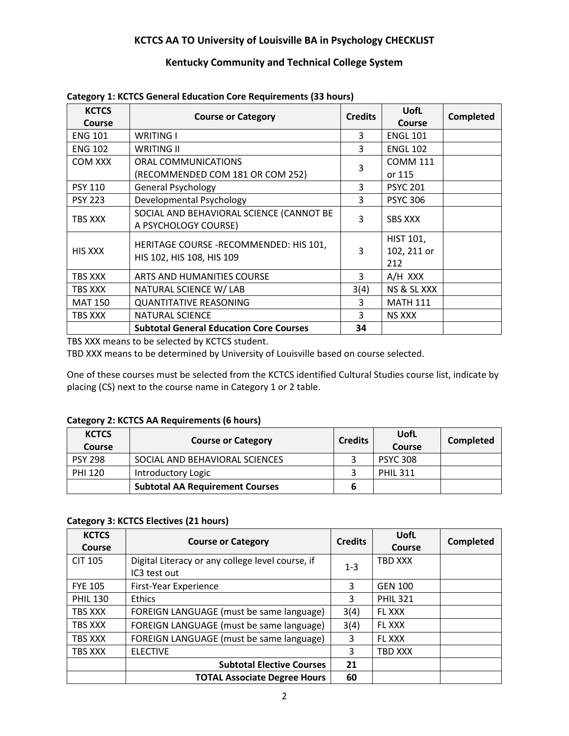### **KCTCS AA TO University of Louisville BA in Psychology CHECKLIST**

#### **Kentucky Community and Technical College System**

| <b>KCTCS</b><br>Course | <b>Course or Category</b>                                           | <b>Credits</b> | <b>UofL</b><br><b>Course</b> | Completed |
|------------------------|---------------------------------------------------------------------|----------------|------------------------------|-----------|
| <b>ENG 101</b>         | <b>WRITING I</b>                                                    | 3              | <b>ENGL 101</b>              |           |
| <b>ENG 102</b>         | <b>WRITING II</b>                                                   | 3              | <b>ENGL 102</b>              |           |
| COM XXX                | ORAL COMMUNICATIONS                                                 | 3              | <b>COMM 111</b>              |           |
|                        | (RECOMMENDED COM 181 OR COM 252)                                    |                | or 115                       |           |
| <b>PSY 110</b>         | <b>General Psychology</b>                                           | 3              | <b>PSYC 201</b>              |           |
| <b>PSY 223</b>         | Developmental Psychology                                            | 3              | <b>PSYC 306</b>              |           |
| TBS XXX                | SOCIAL AND BEHAVIORAL SCIENCE (CANNOT BE                            | 3              | <b>SBS XXX</b>               |           |
|                        | A PSYCHOLOGY COURSE)                                                |                |                              |           |
| <b>HIS XXX</b>         | HERITAGE COURSE -RECOMMENDED: HIS 101,<br>HIS 102, HIS 108, HIS 109 | 3              | <b>HIST 101,</b>             |           |
|                        |                                                                     |                | 102, 211 or                  |           |
|                        |                                                                     |                | 212                          |           |
| TBS XXX                | ARTS AND HUMANITIES COURSE                                          | 3              | A/H XXX                      |           |
| TBS XXX                | NATURAL SCIENCE W/ LAB                                              | 3(4)           | NS & SL XXX                  |           |
| MAT 150                | <b>QUANTITATIVE REASONING</b>                                       | 3              | <b>MATH 111</b>              |           |
| TBS XXX                | <b>NATURAL SCIENCE</b>                                              | 3              | <b>NS XXX</b>                |           |
|                        | <b>Subtotal General Education Core Courses</b>                      | 34             |                              |           |

#### **Category 1: KCTCS General Education Core Requirements (33 hours)**

TBS XXX means to be selected by KCTCS student.

TBD XXX means to be determined by University of Louisville based on course selected.

One of these courses must be selected from the KCTCS identified Cultural Studies course list, indicate by placing (CS) next to the course name in Category 1 or 2 table.

#### **Category 2: KCTCS AA Requirements (6 hours)**

| <b>KCTCS</b><br>Course | <b>Course or Category</b>              | <b>Credits</b> | <b>UofL</b><br>Course | Completed |
|------------------------|----------------------------------------|----------------|-----------------------|-----------|
| <b>PSY 298</b>         | SOCIAL AND BEHAVIORAL SCIENCES         |                | <b>PSYC 308</b>       |           |
| <b>PHI 120</b>         | Introductory Logic                     |                | <b>PHIL 311</b>       |           |
|                        | <b>Subtotal AA Requirement Courses</b> |                |                       |           |

#### **Category 3: KCTCS Electives (21 hours)**

| <b>KCTCS</b><br>Course | <b>Course or Category</b>                                        | <b>Credits</b> | UofL<br>Course  | <b>Completed</b> |
|------------------------|------------------------------------------------------------------|----------------|-----------------|------------------|
| <b>CIT 105</b>         | Digital Literacy or any college level course, if<br>IC3 test out | $1 - 3$        | TBD XXX         |                  |
| <b>FYE 105</b>         | First-Year Experience                                            | 3              | <b>GEN 100</b>  |                  |
| <b>PHIL 130</b>        | <b>Ethics</b>                                                    | 3              | <b>PHIL 321</b> |                  |
| TBS XXX                | FOREIGN LANGUAGE (must be same language)                         | 3(4)           | <b>FL XXX</b>   |                  |
| TBS XXX                | FOREIGN LANGUAGE (must be same language)                         | 3(4)           | <b>FL XXX</b>   |                  |
| TBS XXX                | FOREIGN LANGUAGE (must be same language)                         | 3              | FL XXX          |                  |
| TBS XXX                | <b>ELECTIVE</b>                                                  | 3              | TBD XXX         |                  |
|                        | <b>Subtotal Elective Courses</b>                                 | 21             |                 |                  |
|                        | <b>TOTAL Associate Degree Hours</b>                              | 60             |                 |                  |